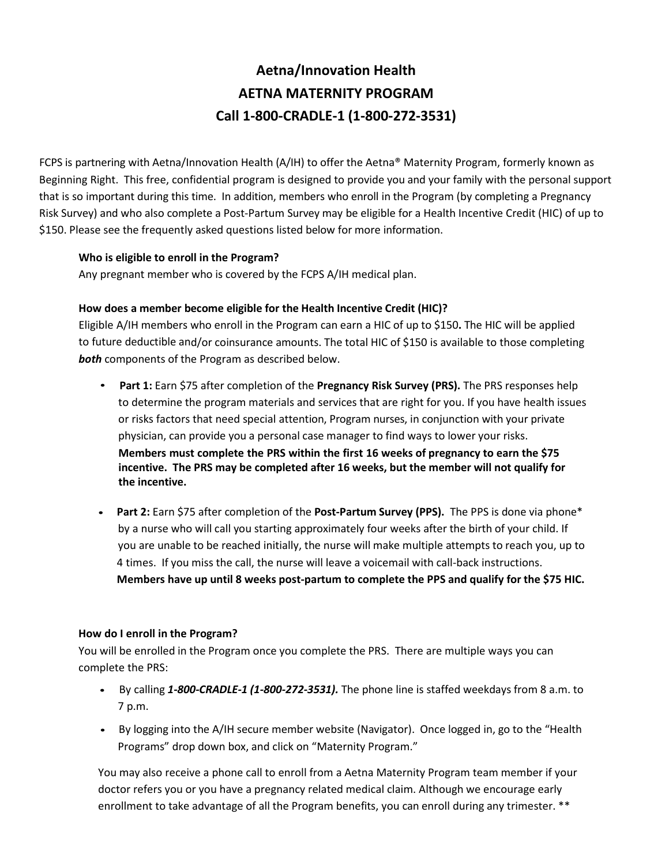# **Aetna/Innovation Health AETNA MATERNITY PROGRAM Call 1-800-CRADLE-1 (1-800-272-3531)**

FCPS is partnering with Aetna/Innovation Health (A/IH) to offer the Aetna® Maternity Program, formerly known as Beginning Right. This free, confidential program is designed to provide you and your family with the personal support that is so important during this time. In addition, members who enroll in the Program (by completing a Pregnancy Risk Survey) and who also complete a Post-Partum Survey may be eligible for a Health Incentive Credit (HIC) of up to \$150. Please see the frequently asked questions listed below for more information.

#### **Who is eligible to enroll in the Program?**

Any pregnant member who is covered by the FCPS A/IH medical plan.

### **How does a member become eligible for the Health Incentive Credit (HIC)?**

Eligible A/IH members who enroll in the Program can earn a HIC of up to \$150**.** The HIC will be applied to future deductible and/or coinsurance amounts. The total HIC of \$150 is available to those completing *both* components of the Program as described below.

- **Part 1:** Earn \$75 after completion of the **Pregnancy Risk Survey (PRS).** The PRS responses help to determine the program materials and services that are right for you. If you have health issues or risks factors that need special attention, Program nurses, in conjunction with your private physician, can provide you a personal case manager to find ways to lower your risks. **Members must complete the PRS within the first 16 weeks of pregnancy to earn the \$75 incentive. The PRS may be completed after 16 weeks, but the member will not qualify for the incentive.**
- **Part 2:** Earn \$75 after completion of the **Post-Partum Survey (PPS).** The PPS is done via phone\* by a nurse who will call you starting approximately four weeks after the birth of your child. If you are unable to be reached initially, the nurse will make multiple attempts to reach you, up to 4 times. If you miss the call, the nurse will leave a voicemail with call-back instructions. **Members have up until 8 weeks post-partum to complete the PPS and qualify for the \$75 HIC.**

#### **How do I enroll in the Program?**

You will be enrolled in the Program once you complete the PRS. There are multiple ways you can complete the PRS:

- By calling *1-800-CRADLE-1 (1-800-272-3531).* The phone line is staffed weekdays from 8 a.m. to 7 p.m.
- By logging into the A/IH secure member website (Navigator). Once logged in, go to the "Health Programs" drop down box, and click on "Maternity Program."

You may also receive a phone call to enroll from a Aetna Maternity Program team member if your doctor refers you or you have a pregnancy related medical claim. Although we encourage early enrollment to take advantage of all the Program benefits, you can enroll during any trimester. \*\*